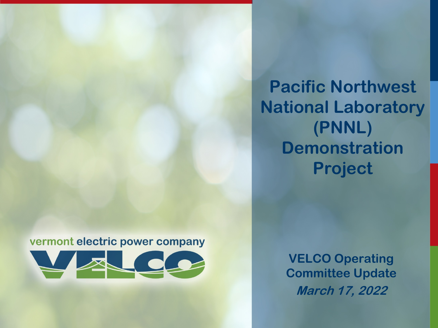vermont electric power company



**Pacific Northwest National Laboratory (PNNL) Demonstration Project** 

> **VELCO Operating Committee Update March 17, 2022**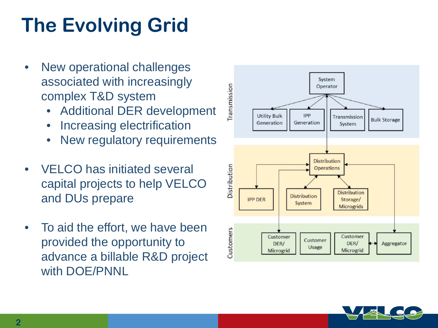# **The Evolving Grid**

- New operational challenges associated with increasingly complex T&D system
	- Additional DER development
	- Increasing electrification
	- New regulatory requirements
- VELCO has initiated several capital projects to help VELCO and DUs prepare
- To aid the effort, we have been provided the opportunity to advance a billable R&D project with DOE/PNNL



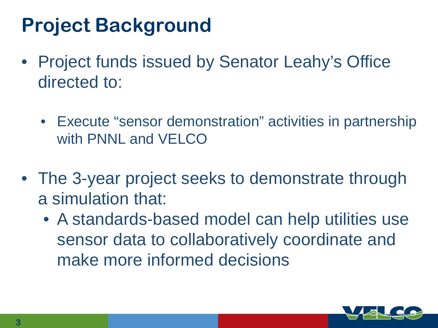## **Project Background**

- Project funds issued by Senator Leahy's Office directed to:
	- Execute "sensor demonstration" activities in partnership with PNNL and VELCO
- The 3-year project seeks to demonstrate through a simulation that:
	- A standards-based model can help utilities use sensor data to collaboratively coordinate and make more informed decisions

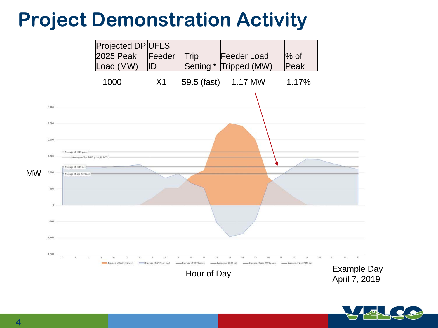### **Project Demonstration Activity**



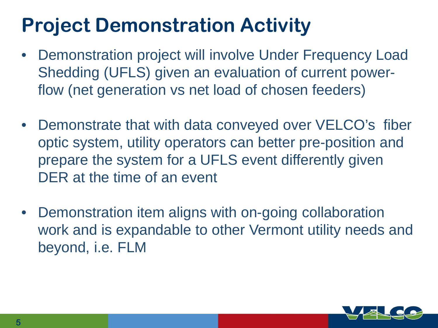## **Project Demonstration Activity**

- Demonstration project will involve Under Frequency Load Shedding (UFLS) given an evaluation of current powerflow (net generation vs net load of chosen feeders)
- Demonstrate that with data conveyed over VELCO's fiber optic system, utility operators can better pre-position and prepare the system for a UFLS event differently given DER at the time of an event
- Demonstration item aligns with on-going collaboration work and is expandable to other Vermont utility needs and beyond, i.e. FLM

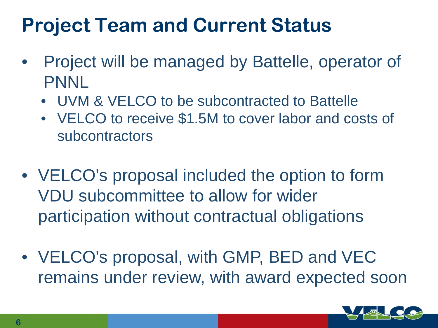### **Project Team and Current Status**

- Project will be managed by Battelle, operator of PNNL
	- UVM & VELCO to be subcontracted to Battelle
	- VELCO to receive \$1.5M to cover labor and costs of subcontractors
- VELCO's proposal included the option to form VDU subcommittee to allow for wider participation without contractual obligations
- VELCO's proposal, with GMP, BED and VEC remains under review, with award expected soon

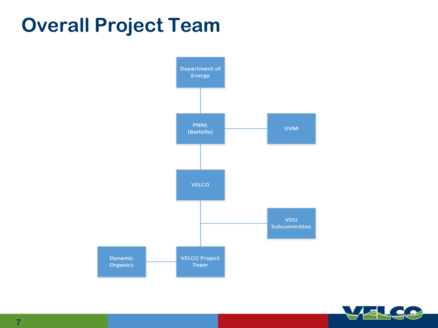## **Overall Project Team**



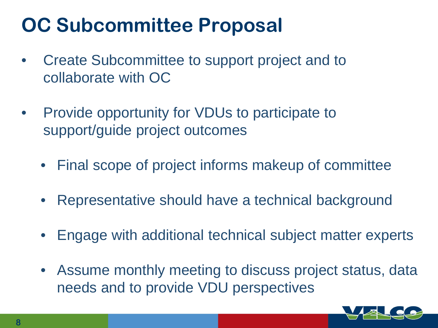## **OC Subcommittee Proposal**

- Create Subcommittee to support project and to collaborate with OC
- Provide opportunity for VDUs to participate to support/guide project outcomes
	- Final scope of project informs makeup of committee
	- Representative should have a technical background
	- Engage with additional technical subject matter experts
	- Assume monthly meeting to discuss project status, data needs and to provide VDU perspectives

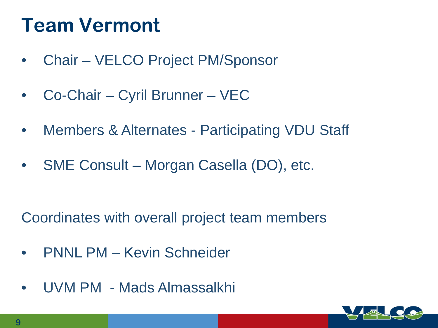#### **Team Vermont**

- Chair VELCO Project PM/Sponsor
- Co-Chair Cyril Brunner VEC
- Members & Alternates Participating VDU Staff
- SME Consult Morgan Casella (DO), etc.

Coordinates with overall project team members

- PNNL PM Kevin Schneider
- UVM PM Mads Almassalkhi

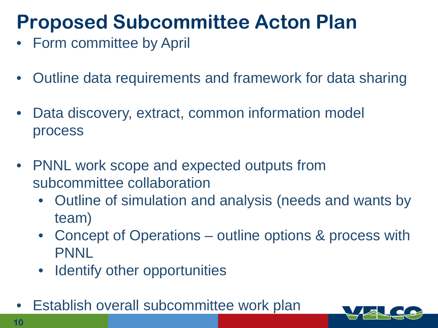## **Proposed Subcommittee Acton Plan**

- Form committee by April
- Outline data requirements and framework for data sharing
- Data discovery, extract, common information model process
- PNNL work scope and expected outputs from subcommittee collaboration
	- Outline of simulation and analysis (needs and wants by team)
	- Concept of Operations outline options & process with PNNL
	- Identify other opportunities
- Establish overall subcommittee work plan